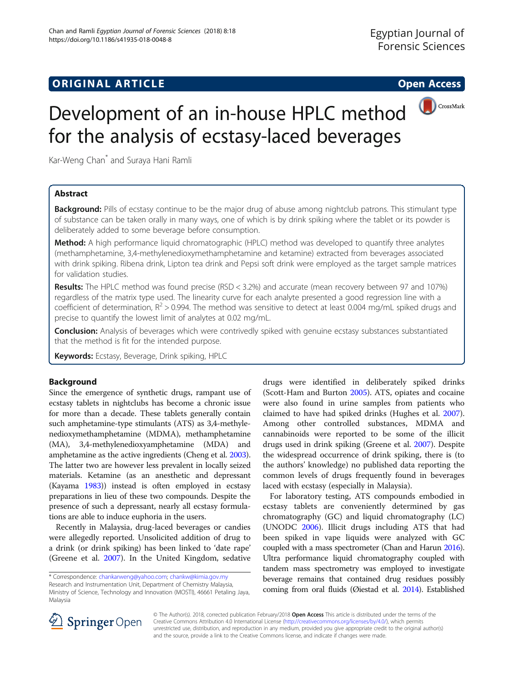# **ORIGINAL ARTICLE CONSERVANCE IN A LOCAL CONSERVANCE IN A LOCAL CONSERVANCE IN A LOCAL CONSERVANCE IN A LOCAL CONSERVANCE IN A LOCAL CONSERVANCE IN A LOCAL CONSERVANCE IN A LOCAL CONSERVANCE IN A LOCAL CONSERVANCE IN A L**



# Development of an in-house HPLC method for the analysis of ecstasy-laced beverages

Kar-Weng Chan\* and Suraya Hani Ramli

# Abstract

**Background:** Pills of ecstasy continue to be the major drug of abuse among nightclub patrons. This stimulant type of substance can be taken orally in many ways, one of which is by drink spiking where the tablet or its powder is deliberately added to some beverage before consumption.

**Method:** A high performance liquid chromatographic (HPLC) method was developed to quantify three analytes (methamphetamine, 3,4-methylenedioxymethamphetamine and ketamine) extracted from beverages associated with drink spiking. Ribena drink, Lipton tea drink and Pepsi soft drink were employed as the target sample matrices for validation studies.

Results: The HPLC method was found precise (RSD < 3.2%) and accurate (mean recovery between 97 and 107%) regardless of the matrix type used. The linearity curve for each analyte presented a good regression line with a coefficient of determination,  $R^2 > 0.994$ . The method was sensitive to detect at least 0.004 mg/mL spiked drugs and precise to quantify the lowest limit of analytes at 0.02 mg/mL.

**Conclusion:** Analysis of beverages which were contrivedly spiked with genuine ecstasy substances substantiated that the method is fit for the intended purpose.

Keywords: Ecstasy, Beverage, Drink spiking, HPLC

# Background

Since the emergence of synthetic drugs, rampant use of ecstasy tablets in nightclubs has become a chronic issue for more than a decade. These tablets generally contain such amphetamine-type stimulants (ATS) as 3,4-methylenedioxymethamphetamine (MDMA), methamphetamine (MA), 3,4-methylenedioxyamphetamine (MDA) and amphetamine as the active ingredients (Cheng et al. [2003](#page-7-0)). The latter two are however less prevalent in locally seized materials. Ketamine (as an anesthetic and depressant (Kayama [1983](#page-7-0))) instead is often employed in ecstasy preparations in lieu of these two compounds. Despite the presence of such a depressant, nearly all ecstasy formulations are able to induce euphoria in the users.

Recently in Malaysia, drug-laced beverages or candies were allegedly reported. Unsolicited addition of drug to a drink (or drink spiking) has been linked to 'date rape' (Greene et al. [2007\)](#page-7-0). In the United Kingdom, sedative

\* Correspondence: [chankarweng@yahoo.com](mailto:chankarweng@yahoo.com); [chankw@kimia.gov.my](mailto:chankw@kimia.gov.my) Research and Instrumentation Unit, Department of Chemistry Malaysia, Ministry of Science, Technology and Innovation (MOSTI), 46661 Petaling Jaya, Malaysia

drugs were identified in deliberately spiked drinks (Scott-Ham and Burton [2005\)](#page-7-0). ATS, opiates and cocaine were also found in urine samples from patients who claimed to have had spiked drinks (Hughes et al. [2007](#page-7-0)). Among other controlled substances, MDMA and cannabinoids were reported to be some of the illicit drugs used in drink spiking (Greene et al. [2007](#page-7-0)). Despite the widespread occurrence of drink spiking, there is (to the authors' knowledge) no published data reporting the common levels of drugs frequently found in beverages laced with ecstasy (especially in Malaysia).

For laboratory testing, ATS compounds embodied in ecstasy tablets are conveniently determined by gas chromatography (GC) and liquid chromatography (LC) (UNODC [2006](#page-7-0)). Illicit drugs including ATS that had been spiked in vape liquids were analyzed with GC coupled with a mass spectrometer (Chan and Harun [2016](#page-7-0)). Ultra performance liquid chromatography coupled with tandem mass spectrometry was employed to investigate beverage remains that contained drug residues possibly coming from oral fluids (Øiestad et al. [2014\)](#page-7-0). Established



© The Author(s). 2018, corrected publication February/2018 Open Access This article is distributed under the terms of the Creative Commons Attribution 4.0 International License ([http://creativecommons.org/licenses/by/4.0/\)](http://creativecommons.org/licenses/by/4.0/), which permits unrestricted use, distribution, and reproduction in any medium, provided you give appropriate credit to the original author(s) and the source, provide a link to the Creative Commons license, and indicate if changes were made.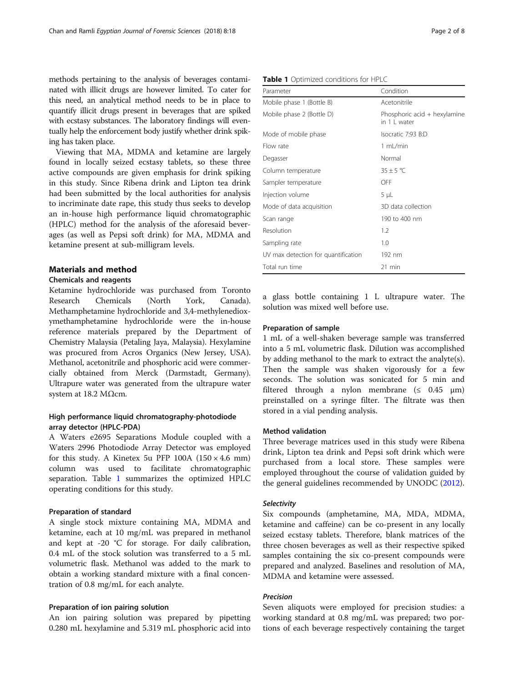methods pertaining to the analysis of beverages contaminated with illicit drugs are however limited. To cater for this need, an analytical method needs to be in place to quantify illicit drugs present in beverages that are spiked with ecstasy substances. The laboratory findings will eventually help the enforcement body justify whether drink spiking has taken place.

Viewing that MA, MDMA and ketamine are largely found in locally seized ecstasy tablets, so these three active compounds are given emphasis for drink spiking in this study. Since Ribena drink and Lipton tea drink had been submitted by the local authorities for analysis to incriminate date rape, this study thus seeks to develop an in-house high performance liquid chromatographic (HPLC) method for the analysis of the aforesaid beverages (as well as Pepsi soft drink) for MA, MDMA and ketamine present at sub-milligram levels.

#### Materials and method

#### Chemicals and reagents

Ketamine hydrochloride was purchased from Toronto Research Chemicals (North York, Canada). Methamphetamine hydrochloride and 3,4-methylenedioxymethamphetamine hydrochloride were the in-house reference materials prepared by the Department of Chemistry Malaysia (Petaling Jaya, Malaysia). Hexylamine was procured from Acros Organics (New Jersey, USA). Methanol, acetonitrile and phosphoric acid were commercially obtained from Merck (Darmstadt, Germany). Ultrapure water was generated from the ultrapure water system at 18.2 MΩcm.

#### High performance liquid chromatography-photodiode array detector (HPLC-PDA)

A Waters e2695 Separations Module coupled with a Waters 2996 Photodiode Array Detector was employed for this study. A Kinetex 5u PFP 100A  $(150 \times 4.6 \text{ mm})$ column was used to facilitate chromatographic separation. Table 1 summarizes the optimized HPLC operating conditions for this study.

#### Preparation of standard

A single stock mixture containing MA, MDMA and ketamine, each at 10 mg/mL was prepared in methanol and kept at -20 °C for storage. For daily calibration, 0.4 mL of the stock solution was transferred to a 5 mL volumetric flask. Methanol was added to the mark to obtain a working standard mixture with a final concentration of 0.8 mg/mL for each analyte.

#### Preparation of ion pairing solution

An ion pairing solution was prepared by pipetting 0.280 mL hexylamine and 5.319 mL phosphoric acid into

| Parameter                           | Condition                                    |
|-------------------------------------|----------------------------------------------|
| Mobile phase 1 (Bottle B)           | Acetonitrile                                 |
| Mobile phase 2 (Bottle D)           | Phosphoric acid + hexylamine<br>in 1 L water |
| Mode of mobile phase                | Isocratic 7:93 B:D                           |
| Flow rate                           | 1 mL/min                                     |
| Degasser                            | Normal                                       |
| Column temperature                  | $35 \pm 5$ °C                                |
| Sampler temperature                 | OFF                                          |
| Injection volume                    | $5 \mu L$                                    |
| Mode of data acquisition            | 3D data collection                           |
| Scan range                          | 190 to 400 nm                                |
| Resolution                          | 1.2                                          |
| Sampling rate                       | 1.0                                          |
| UV max detection for quantification | 192 nm                                       |
| Total run time                      | $21 \text{ min}$                             |

#### Table 1 Optimized conditions for HPLC

a glass bottle containing 1 L ultrapure water. The solution was mixed well before use.

#### Preparation of sample

1 mL of a well-shaken beverage sample was transferred into a 5 mL volumetric flask. Dilution was accomplished by adding methanol to the mark to extract the analyte(s). Then the sample was shaken vigorously for a few seconds. The solution was sonicated for 5 min and filtered through a nylon membrane  $(≤ 0.45 \mu m)$ preinstalled on a syringe filter. The filtrate was then stored in a vial pending analysis.

#### Method validation

Three beverage matrices used in this study were Ribena drink, Lipton tea drink and Pepsi soft drink which were purchased from a local store. These samples were employed throughout the course of validation guided by the general guidelines recommended by UNODC [\(2012](#page-7-0)).

#### **Selectivity**

Six compounds (amphetamine, MA, MDA, MDMA, ketamine and caffeine) can be co-present in any locally seized ecstasy tablets. Therefore, blank matrices of the three chosen beverages as well as their respective spiked samples containing the six co-present compounds were prepared and analyzed. Baselines and resolution of MA, MDMA and ketamine were assessed.

#### Precision

Seven aliquots were employed for precision studies: a working standard at 0.8 mg/mL was prepared; two portions of each beverage respectively containing the target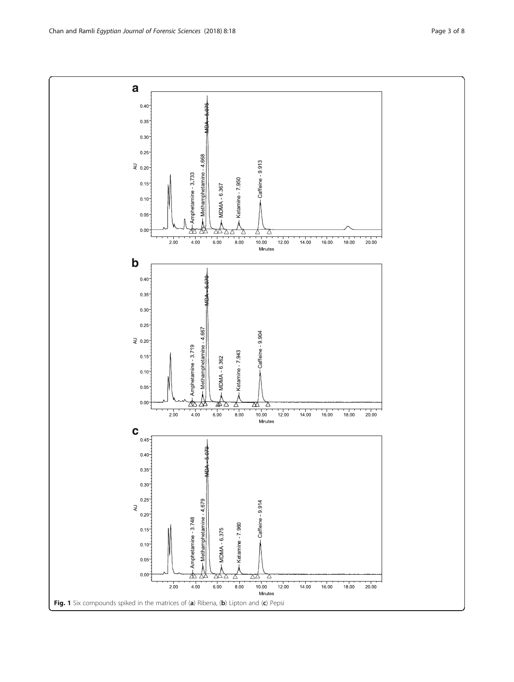<span id="page-2-0"></span>Chan and Ramli Egyptian Journal of Forensic Sciences (2018) 8:18 Page 3 of 8

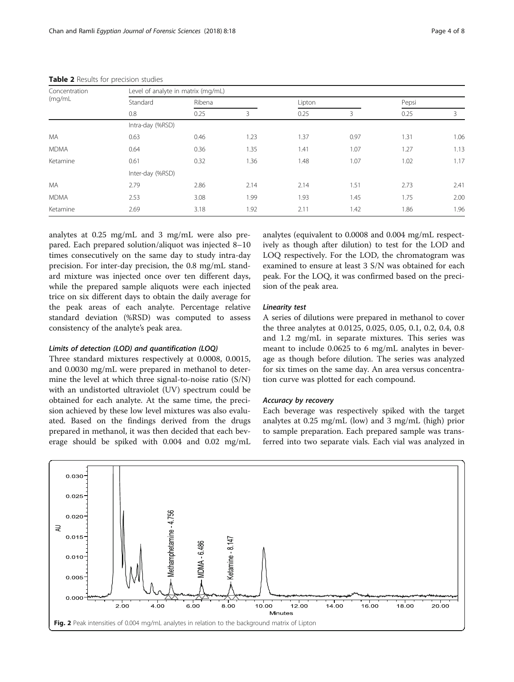| Concentration<br>(mg/mL | . .<br>Level of analyte in matrix (mg/mL) |        |      |        |      |       |      |  |  |
|-------------------------|-------------------------------------------|--------|------|--------|------|-------|------|--|--|
|                         | Standard                                  | Ribena |      | Lipton |      | Pepsi |      |  |  |
|                         | 0.8                                       | 0.25   | 3    | 0.25   | 3    | 0.25  | 3    |  |  |
|                         | Intra-day (%RSD)                          |        |      |        |      |       |      |  |  |
| MA                      | 0.63                                      | 0.46   | 1.23 | 1.37   | 0.97 | 1.31  | 1.06 |  |  |
| <b>MDMA</b>             | 0.64                                      | 0.36   | 1.35 | 1.41   | 1.07 | 1.27  | 1.13 |  |  |
| Ketamine                | 0.61                                      | 0.32   | 1.36 | 1.48   | 1.07 | 1.02  | 1.17 |  |  |
|                         | Inter-day (%RSD)                          |        |      |        |      |       |      |  |  |
| <b>MA</b>               | 2.79                                      | 2.86   | 2.14 | 2.14   | 1.51 | 2.73  | 2.41 |  |  |
| <b>MDMA</b>             | 2.53                                      | 3.08   | 1.99 | 1.93   | 1.45 | 1.75  | 2.00 |  |  |
| Ketamine                | 2.69                                      | 3.18   | 1.92 | 2.11   | 1.42 | 1.86  | 1.96 |  |  |

<span id="page-3-0"></span>Table 2 Results for precision studies

analytes at 0.25 mg/mL and 3 mg/mL were also prepared. Each prepared solution/aliquot was injected 8–10 times consecutively on the same day to study intra-day precision. For inter-day precision, the 0.8 mg/mL standard mixture was injected once over ten different days, while the prepared sample aliquots were each injected trice on six different days to obtain the daily average for the peak areas of each analyte. Percentage relative standard deviation (%RSD) was computed to assess consistency of the analyte's peak area.

### Limits of detection (LOD) and quantification (LOQ)

Three standard mixtures respectively at 0.0008, 0.0015, and 0.0030 mg/mL were prepared in methanol to determine the level at which three signal-to-noise ratio (S/N) with an undistorted ultraviolet (UV) spectrum could be obtained for each analyte. At the same time, the precision achieved by these low level mixtures was also evaluated. Based on the findings derived from the drugs prepared in methanol, it was then decided that each beverage should be spiked with 0.004 and 0.02 mg/mL analytes (equivalent to 0.0008 and 0.004 mg/mL respectively as though after dilution) to test for the LOD and LOQ respectively. For the LOD, the chromatogram was examined to ensure at least 3 S/N was obtained for each peak. For the LOQ, it was confirmed based on the precision of the peak area.

#### Linearity test

A series of dilutions were prepared in methanol to cover the three analytes at 0.0125, 0.025, 0.05, 0.1, 0.2, 0.4, 0.8 and 1.2 mg/mL in separate mixtures. This series was meant to include 0.0625 to 6 mg/mL analytes in beverage as though before dilution. The series was analyzed for six times on the same day. An area versus concentration curve was plotted for each compound.

#### Accuracy by recovery

Each beverage was respectively spiked with the target analytes at 0.25 mg/mL (low) and 3 mg/mL (high) prior to sample preparation. Each prepared sample was transferred into two separate vials. Each vial was analyzed in

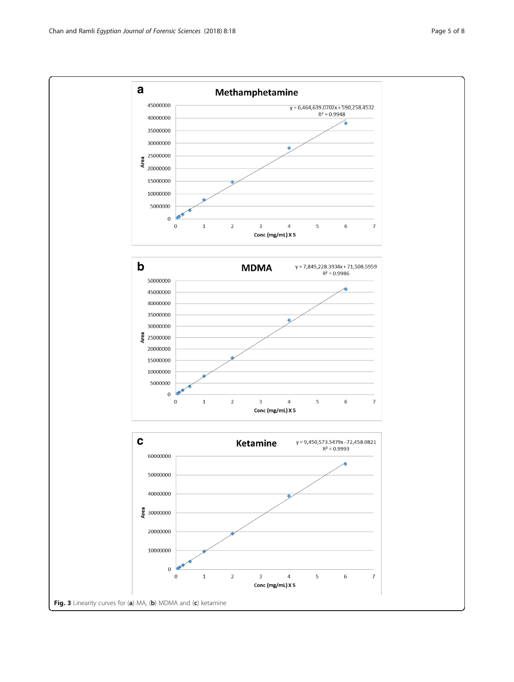<span id="page-4-0"></span>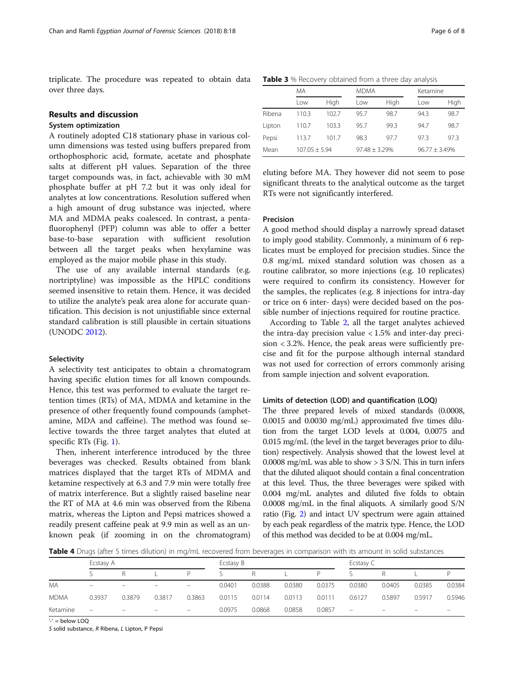<span id="page-5-0"></span>triplicate. The procedure was repeated to obtain data over three days.

# Results and discussion

#### System optimization

A routinely adopted C18 stationary phase in various column dimensions was tested using buffers prepared from orthophosphoric acid, formate, acetate and phosphate salts at different pH values. Separation of the three target compounds was, in fact, achievable with 30 mM phosphate buffer at pH 7.2 but it was only ideal for analytes at low concentrations. Resolution suffered when a high amount of drug substance was injected, where MA and MDMA peaks coalesced. In contrast, a pentafluorophenyl (PFP) column was able to offer a better base-to-base separation with sufficient resolution between all the target peaks when hexylamine was employed as the major mobile phase in this study.

The use of any available internal standards (e.g. nortriptyline) was impossible as the HPLC conditions seemed insensitive to retain them. Hence, it was decided to utilize the analyte's peak area alone for accurate quantification. This decision is not unjustifiable since external standard calibration is still plausible in certain situations (UNODC [2012\)](#page-7-0).

#### Selectivity

A selectivity test anticipates to obtain a chromatogram having specific elution times for all known compounds. Hence, this test was performed to evaluate the target retention times (RTs) of MA, MDMA and ketamine in the presence of other frequently found compounds (amphetamine, MDA and caffeine). The method was found selective towards the three target analytes that eluted at specific RTs (Fig. [1\)](#page-2-0).

Then, inherent interference introduced by the three beverages was checked. Results obtained from blank matrices displayed that the target RTs of MDMA and ketamine respectively at 6.3 and 7.9 min were totally free of matrix interference. But a slightly raised baseline near the RT of MA at 4.6 min was observed from the Ribena matrix, whereas the Lipton and Pepsi matrices showed a readily present caffeine peak at 9.9 min as well as an unknown peak (if zooming in on the chromatogram)

Table 3 % Recovery obtained from a three day analysis

|        | MA              |       | <b>MDMA</b>      |      | Ketamine         |      |  |
|--------|-----------------|-------|------------------|------|------------------|------|--|
|        | l ow            | High  | Low              | High | Low              | High |  |
| Ribena | 110.3           | 102.7 | 95.7             | 98.7 | 94.3             | 98.7 |  |
| Lipton | 110.7           | 103.3 | 95.7             | 99.3 | 94.7             | 98.7 |  |
| Pepsi  | 113.7           | 101.7 | 98.3             | 977  | 973              | 973  |  |
| Mean   | $107.05 + 5.94$ |       | $97.48 + 3.29\%$ |      | $96.77 + 3.49\%$ |      |  |

eluting before MA. They however did not seem to pose significant threats to the analytical outcome as the target RTs were not significantly interfered.

#### Precision

A good method should display a narrowly spread dataset to imply good stability. Commonly, a minimum of 6 replicates must be employed for precision studies. Since the 0.8 mg/mL mixed standard solution was chosen as a routine calibrator, so more injections (e.g. 10 replicates) were required to confirm its consistency. However for the samples, the replicates (e.g. 8 injections for intra-day or trice on 6 inter- days) were decided based on the possible number of injections required for routine practice.

According to Table [2](#page-3-0), all the target analytes achieved the intra-day precision value < 1.5% and inter-day precision < 3.2%. Hence, the peak areas were sufficiently precise and fit for the purpose although internal standard was not used for correction of errors commonly arising from sample injection and solvent evaporation.

#### Limits of detection (LOD) and quantification (LOQ)

The three prepared levels of mixed standards (0.0008, 0.0015 and 0.0030 mg/mL) approximated five times dilution from the target LOD levels at 0.004, 0.0075 and 0.015 mg/mL (the level in the target beverages prior to dilution) respectively. Analysis showed that the lowest level at 0.0008 mg/mL was able to show > 3 S/N. This in turn infers that the diluted aliquot should contain a final concentration at this level. Thus, the three beverages were spiked with 0.004 mg/mL analytes and diluted five folds to obtain 0.0008 mg/mL in the final aliquots. A similarly good S/N ratio (Fig. [2\)](#page-3-0) and intact UV spectrum were again attained by each peak regardless of the matrix type. Hence, the LOD of this method was decided to be at 0.004 mg/mL.

Table 4 Drugs (after 5 times dilution) in mg/mL recovered from beverages in comparison with its amount in solid substances

|             | Ecstasy A         |                              |                          | Ecstasy B                |        |        |        | Ecstasy C |                          |                          |        |        |
|-------------|-------------------|------------------------------|--------------------------|--------------------------|--------|--------|--------|-----------|--------------------------|--------------------------|--------|--------|
|             |                   |                              |                          | P                        |        | R      |        | P         |                          | к                        |        |        |
| MA          | $\qquad \qquad =$ | $\qquad \qquad \blacksquare$ | $\overline{\phantom{a}}$ | $\overline{\phantom{m}}$ | 0.0401 | 0.0388 | 0.0380 | 0.0375    | 0.0380                   | 0.0405                   | 0.0385 | 0.0384 |
| <b>MDMA</b> | 0.3937            | 0.3879                       | 0.3817                   | 0.3863                   | 0.0115 | 0.0114 | 0.0113 | 0.0111    | 0.6127                   | 0.5897                   | 0.5917 | 0.5946 |
| Ketamine    | $\qquad \qquad =$ | $\overline{\phantom{m}}$     | $\overline{\phantom{a}}$ | $\overline{\phantom{a}}$ | 0.0975 | 0.0868 | 0.0858 | 0.0857    | $\overline{\phantom{m}}$ | $\overline{\phantom{0}}$ | $-$    |        |

 $i'$  = below LOQ

S solid substance, R Ribena, L Lipton, P Pepsi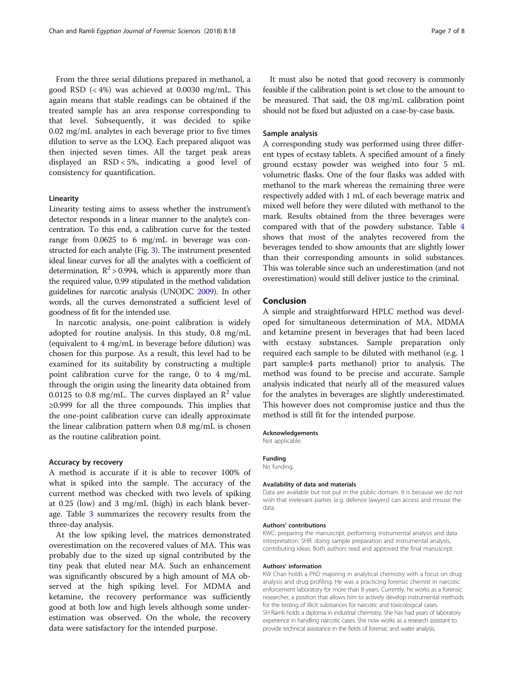From the three serial dilutions prepared in methanol, a good RSD  $( $4\%$ ) was achieved at 0.0030 mg/mL. This$ again means that stable readings can be obtained if the treated sample has an area response corresponding to that level. Subsequently, it was decided to spike 0.02 mg/mL analytes in each beverage prior to five times dilution to serve as the LOQ. Each prepared aliquot was then injected seven times. All the target peak areas displayed an RSD < 5%, indicating a good level of consistency for quantification.

#### Linearity

Linearity testing aims to assess whether the instrument's detector responds in a linear manner to the analyte's concentration. To this end, a calibration curve for the tested range from 0.0625 to 6 mg/mL in beverage was constructed for each analyte (Fig. [3](#page-4-0)). The instrument presented ideal linear curves for all the analytes with a coefficient of determination,  $R^2 > 0.994$ , which is apparently more than the required value, 0.99 stipulated in the method validation guidelines for narcotic analysis (UNODC [2009\)](#page-7-0). In other words, all the curves demonstrated a sufficient level of goodness of fit for the intended use.

In narcotic analysis, one-point calibration is widely adopted for routine analysis. In this study, 0.8 mg/mL (equivalent to 4 mg/mL in beverage before dilution) was chosen for this purpose. As a result, this level had to be examined for its suitability by constructing a multiple point calibration curve for the range, 0 to 4 mg/mL through the origin using the linearity data obtained from 0.0125 to 0.8 mg/mL. The curves displayed an  $\mathbb{R}^2$  value ≥0.999 for all the three compounds. This implies that the one-point calibration curve can ideally approximate the linear calibration pattern when 0.8 mg/mL is chosen as the routine calibration point.

#### Accuracy by recovery

A method is accurate if it is able to recover 100% of what is spiked into the sample. The accuracy of the current method was checked with two levels of spiking at 0.25 (low) and 3 mg/mL (high) in each blank beverage. Table [3](#page-5-0) summarizes the recovery results from the three-day analysis.

At the low spiking level, the matrices demonstrated overestimation on the recovered values of MA. This was probably due to the sized up signal contributed by the tiny peak that eluted near MA. Such an enhancement was significantly obscured by a high amount of MA observed at the high spiking level. For MDMA and ketamine, the recovery performance was sufficiently good at both low and high levels although some underestimation was observed. On the whole, the recovery data were satisfactory for the intended purpose.

It must also be noted that good recovery is commonly feasible if the calibration point is set close to the amount to be measured. That said, the 0.8 mg/mL calibration point should not be fixed but adjusted on a case-by-case basis.

#### Sample analysis

A corresponding study was performed using three different types of ecstasy tablets. A specified amount of a finely ground ecstasy powder was weighed into four 5 mL volumetric flasks. One of the four flasks was added with methanol to the mark whereas the remaining three were respectively added with 1 mL of each beverage matrix and mixed well before they were diluted with methanol to the mark. Results obtained from the three beverages were compared with that of the powdery substance. Table [4](#page-5-0) shows that most of the analytes recovered from the beverages tended to show amounts that are slightly lower than their corresponding amounts in solid substances. This was tolerable since such an underestimation (and not overestimation) would still deliver justice to the criminal.

# Conclusion

A simple and straightforward HPLC method was developed for simultaneous determination of MA, MDMA and ketamine present in beverages that had been laced with ecstasy substances. Sample preparation only required each sample to be diluted with methanol (e.g. 1 part sample:4 parts methanol) prior to analysis. The method was found to be precise and accurate. Sample analysis indicated that nearly all of the measured values for the analytes in beverages are slightly underestimated. This however does not compromise justice and thus the method is still fit for the intended purpose.

#### Acknowledgements

Not applicable.

#### Funding

No funding.

#### Availability of data and materials

Data are available but not put in the public domain. It is because we do not wish that irrelevant parties (e.g. defence lawyers) can access and misuse the data.

#### Authors' contributions

KWC: preparing the manuscript, performing instrumental analysis and data interpretation. SHR: doing sample preparation and instrumental analysis, contributing ideas. Both authors read and approved the final manuscript.

#### Authors' information

KW Chan holds a PhD majoring in analytical chemistry with a focus on drug analysis and drug profiling. He was a practicing forensic chemist in narcotic enforcement laboratory for more than 8 years. Currently, he works as a forensic researcher, a position that allows him to actively develop instrumental methods for the testing of illicit substances for narcotic and toxicological cases. SH Ramli holds a diploma in industrial chemistry. She has had years of laboratory experience in handling narcotic cases. She now works as a research assistant to provide technical assistance in the fields of forensic and water analysis.